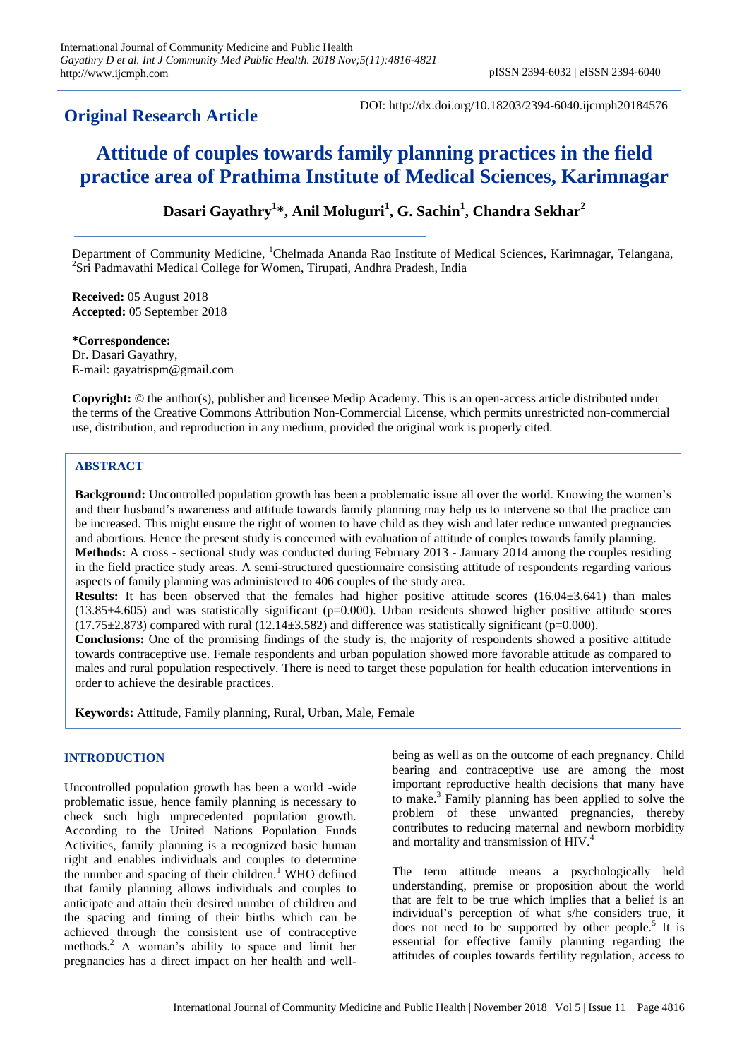# **Original Research Article**

DOI: http://dx.doi.org/10.18203/2394-6040.ijcmph20184576

# **Attitude of couples towards family planning practices in the field practice area of Prathima Institute of Medical Sciences, Karimnagar**

## **Dasari Gayathry<sup>1</sup> \*, Anil Moluguri<sup>1</sup> , G. Sachin<sup>1</sup> , Chandra Sekhar<sup>2</sup>**

Department of Community Medicine, <sup>1</sup>Chelmada Ananda Rao Institute of Medical Sciences, Karimnagar, Telangana, <sup>2</sup>Sri Padmavathi Medical College for Women, Tirupati, Andhra Pradesh, India

**Received:** 05 August 2018 **Accepted:** 05 September 2018

**\*Correspondence:** Dr. Dasari Gayathry, E-mail: gayatrispm@gmail.com

**Copyright:** © the author(s), publisher and licensee Medip Academy. This is an open-access article distributed under the terms of the Creative Commons Attribution Non-Commercial License, which permits unrestricted non-commercial use, distribution, and reproduction in any medium, provided the original work is properly cited.

## **ABSTRACT**

**Background:** Uncontrolled population growth has been a problematic issue all over the world. Knowing the women's and their husband's awareness and attitude towards family planning may help us to intervene so that the practice can be increased. This might ensure the right of women to have child as they wish and later reduce unwanted pregnancies and abortions. Hence the present study is concerned with evaluation of attitude of couples towards family planning. **Methods:** A cross - sectional study was conducted during February 2013 - January 2014 among the couples residing in the field practice study areas. A semi-structured questionnaire consisting attitude of respondents regarding various aspects of family planning was administered to 406 couples of the study area.

**Results:** It has been observed that the females had higher positive attitude scores (16.04±3.641) than males  $(13.85\pm4.605)$  and was statistically significant (p=0.000). Urban residents showed higher positive attitude scores  $(17.75\pm2.873)$  compared with rural  $(12.14\pm3.582)$  and difference was statistically significant (p=0.000).

**Conclusions:** One of the promising findings of the study is, the majority of respondents showed a positive attitude towards contraceptive use. Female respondents and urban population showed more favorable attitude as compared to males and rural population respectively. There is need to target these population for health education interventions in order to achieve the desirable practices.

**Keywords:** Attitude, Family planning, Rural, Urban, Male, Female

## **INTRODUCTION**

Uncontrolled population growth has been a world -wide problematic issue, hence family planning is necessary to check such high unprecedented population growth. According to the United Nations Population Funds Activities, family planning is a recognized basic human right and enables individuals and couples to determine the number and spacing of their children.<sup>1</sup> WHO defined that family planning allows individuals and couples to anticipate and attain their desired number of children and the spacing and timing of their births which can be achieved through the consistent use of contraceptive methods.<sup>2</sup> A woman's ability to space and limit her pregnancies has a direct impact on her health and wellbeing as well as on the outcome of each pregnancy. Child bearing and contraceptive use are among the most important reproductive health decisions that many have to make.<sup>3</sup> Family planning has been applied to solve the problem of these unwanted pregnancies, thereby contributes to reducing maternal and newborn morbidity and mortality and transmission of HIV.<sup>4</sup>

The term attitude means a psychologically held understanding, premise or proposition about the world that are felt to be true which implies that a belief is an individual's perception of what s/he considers true, it does not need to be supported by other people.<sup>5</sup> It is essential for effective family planning regarding the attitudes of couples towards fertility regulation, access to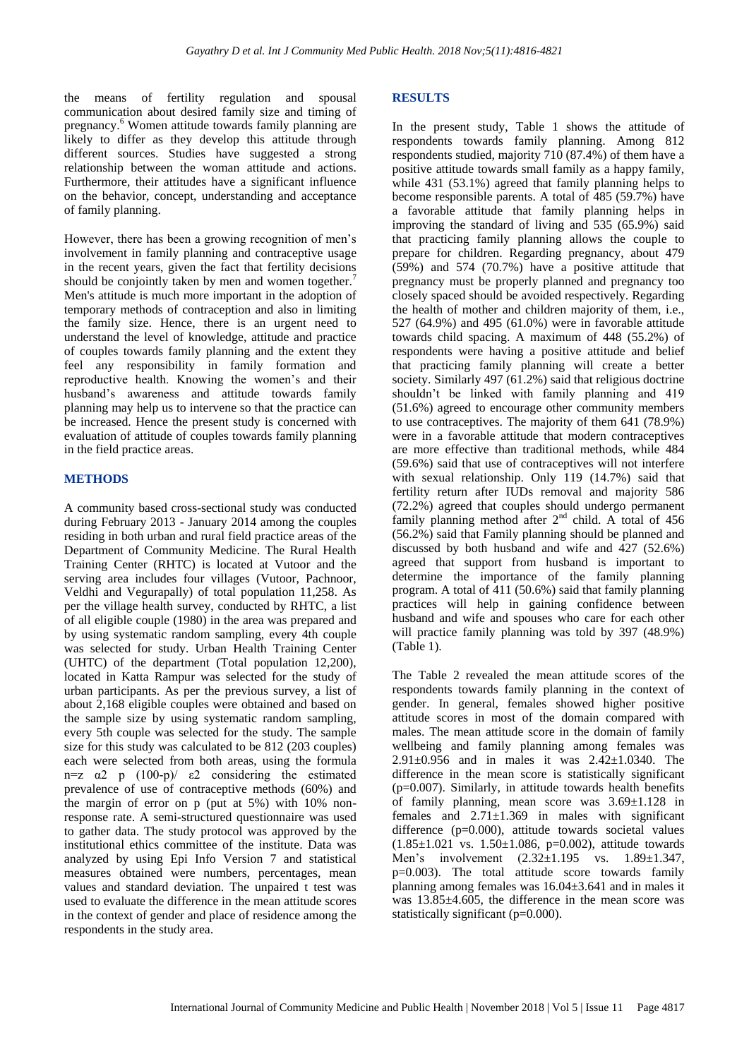the means of fertility regulation and spousal communication about desired family size and timing of pregnancy.<sup>6</sup> Women attitude towards family planning are likely to differ as they develop this attitude through different sources. Studies have suggested a strong relationship between the woman attitude and actions. Furthermore, their attitudes have a significant influence on the behavior, concept, understanding and acceptance of family planning.

However, there has been a growing recognition of men's involvement in family planning and contraceptive usage in the recent years, given the fact that fertility decisions should be conjointly taken by men and women together.<sup>7</sup> Men's attitude is much more important in the adoption of temporary methods of contraception and also in limiting the family size. Hence, there is an urgent need to understand the level of knowledge, attitude and practice of couples towards family planning and the extent they feel any responsibility in family formation and reproductive health. Knowing the women's and their husband's awareness and attitude towards family planning may help us to intervene so that the practice can be increased. Hence the present study is concerned with evaluation of attitude of couples towards family planning in the field practice areas.

#### **METHODS**

A community based cross-sectional study was conducted during February 2013 - January 2014 among the couples residing in both urban and rural field practice areas of the Department of Community Medicine. The Rural Health Training Center (RHTC) is located at Vutoor and the serving area includes four villages (Vutoor, Pachnoor, Veldhi and Vegurapally) of total population 11,258. As per the village health survey, conducted by RHTC, a list of all eligible couple (1980) in the area was prepared and by using systematic random sampling, every 4th couple was selected for study. Urban Health Training Center (UHTC) of the department (Total population 12,200), located in Katta Rampur was selected for the study of urban participants. As per the previous survey, a list of about 2,168 eligible couples were obtained and based on the sample size by using systematic random sampling, every 5th couple was selected for the study. The sample size for this study was calculated to be 812 (203 couples) each were selected from both areas, using the formula n=z  $α2$  p  $(100-p)/ ε2$  considering the estimated prevalence of use of contraceptive methods (60%) and the margin of error on p (put at 5%) with 10% nonresponse rate. A semi-structured questionnaire was used to gather data. The study protocol was approved by the institutional ethics committee of the institute. Data was analyzed by using Epi Info Version 7 and statistical measures obtained were numbers, percentages, mean values and standard deviation. The unpaired t test was used to evaluate the difference in the mean attitude scores in the context of gender and place of residence among the respondents in the study area.

#### **RESULTS**

In the present study, Table 1 shows the attitude of respondents towards family planning. Among 812 respondents studied, majority 710 (87.4%) of them have a positive attitude towards small family as a happy family, while 431 (53.1%) agreed that family planning helps to become responsible parents. A total of 485 (59.7%) have a favorable attitude that family planning helps in improving the standard of living and 535 (65.9%) said that practicing family planning allows the couple to prepare for children. Regarding pregnancy, about 479 (59%) and 574 (70.7%) have a positive attitude that pregnancy must be properly planned and pregnancy too closely spaced should be avoided respectively. Regarding the health of mother and children majority of them, i.e., 527 (64.9%) and 495 (61.0%) were in favorable attitude towards child spacing. A maximum of 448 (55.2%) of respondents were having a positive attitude and belief that practicing family planning will create a better society. Similarly 497 (61.2%) said that religious doctrine shouldn't be linked with family planning and 419 (51.6%) agreed to encourage other community members to use contraceptives. The majority of them 641 (78.9%) were in a favorable attitude that modern contraceptives are more effective than traditional methods, while 484 (59.6%) said that use of contraceptives will not interfere with sexual relationship. Only 119 (14.7%) said that fertility return after IUDs removal and majority 586 (72.2%) agreed that couples should undergo permanent family planning method after  $2<sup>nd</sup>$  child. A total of 456 (56.2%) said that Family planning should be planned and discussed by both husband and wife and 427 (52.6%) agreed that support from husband is important to determine the importance of the family planning program. A total of 411 (50.6%) said that family planning practices will help in gaining confidence between husband and wife and spouses who care for each other will practice family planning was told by 397 (48.9%) (Table 1).

The Table 2 revealed the mean attitude scores of the respondents towards family planning in the context of gender. In general, females showed higher positive attitude scores in most of the domain compared with males. The mean attitude score in the domain of family wellbeing and family planning among females was 2.91±0.956 and in males it was 2.42±1.0340. The difference in the mean score is statistically significant  $(p=0.007)$ . Similarly, in attitude towards health benefits of family planning, mean score was 3.69±1.128 in females and  $2.71 \pm 1.369$  in males with significant difference (p=0.000), attitude towards societal values  $(1.85\pm1.021 \text{ vs. } 1.50\pm1.086, \text{ p=0.002}),$  attitude towards Men's involvement (2.32±1.195 vs. 1.89±1.347, p=0.003). The total attitude score towards family planning among females was 16.04±3.641 and in males it was 13.85±4.605, the difference in the mean score was statistically significant (p=0.000).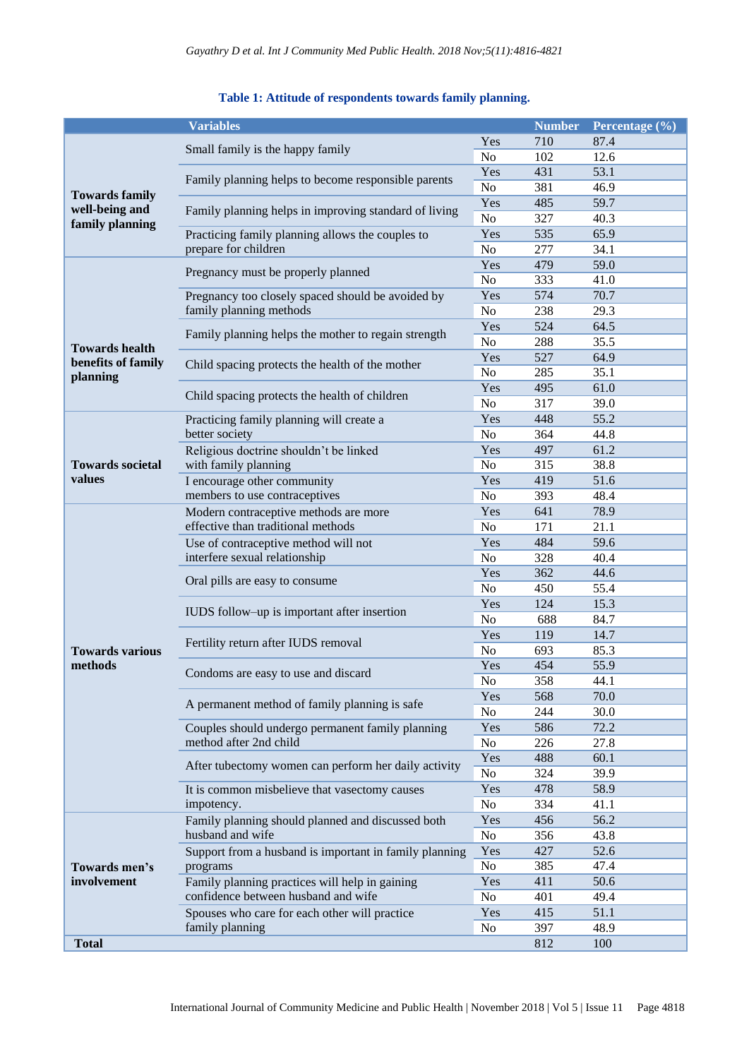|                                   | <b>Variables</b>                                                                      |                | <b>Number</b> | Percentage (%) |
|-----------------------------------|---------------------------------------------------------------------------------------|----------------|---------------|----------------|
| <b>Towards family</b>             |                                                                                       | Yes            | 710           | 87.4           |
|                                   | Small family is the happy family                                                      | No             | 102           | 12.6           |
|                                   | Family planning helps to become responsible parents                                   | Yes            | 431           | 53.1           |
|                                   |                                                                                       | No             | 381           | 46.9           |
|                                   |                                                                                       | Yes            | 485           | 59.7           |
| well-being and<br>family planning | Family planning helps in improving standard of living                                 | No             | 327           | 40.3           |
|                                   | Practicing family planning allows the couples to<br>prepare for children              | Yes            | 535           | 65.9           |
|                                   |                                                                                       | No             | 277           | 34.1           |
|                                   | Pregnancy must be properly planned                                                    | Yes            | 479           | 59.0           |
|                                   |                                                                                       | No             | 333           | 41.0           |
|                                   | Pregnancy too closely spaced should be avoided by<br>family planning methods          | Yes            | 574           | 70.7           |
|                                   |                                                                                       | No             | 238           | 29.3           |
|                                   |                                                                                       | Yes            | 524           | 64.5           |
| <b>Towards health</b>             | Family planning helps the mother to regain strength                                   | No             | 288           | 35.5           |
| benefits of family                | Child spacing protects the health of the mother                                       | Yes            | 527           | 64.9           |
| planning                          |                                                                                       | N <sub>o</sub> | 285           | 35.1           |
|                                   | Child spacing protects the health of children                                         | Yes            | 495           | 61.0           |
|                                   |                                                                                       | No             | 317           | 39.0           |
|                                   | Practicing family planning will create a                                              | Yes            | 448           | 55.2           |
|                                   | better society                                                                        | No             | 364           | 44.8           |
|                                   | Religious doctrine shouldn't be linked                                                | Yes            | 497           | 61.2           |
| <b>Towards societal</b>           | with family planning                                                                  | No             | 315           | 38.8           |
| values                            | I encourage other community                                                           | Yes            | 419           | 51.6           |
|                                   | members to use contraceptives                                                         | No             | 393           | 48.4           |
|                                   | Modern contraceptive methods are more                                                 | Yes            | 641           | 78.9           |
|                                   | effective than traditional methods                                                    | No             | 171           | 21.1           |
|                                   | Use of contraceptive method will not                                                  | Yes            | 484           | 59.6           |
|                                   | interfere sexual relationship                                                         | N <sub>o</sub> | 328           | 40.4           |
|                                   | Oral pills are easy to consume                                                        | Yes            | 362           | 44.6           |
|                                   |                                                                                       | No             | 450           | 55.4           |
|                                   | IUDS follow-up is important after insertion                                           | Yes            | 124           | 15.3           |
|                                   |                                                                                       | No             | 688           | 84.7           |
|                                   | Fertility return after IUDS removal                                                   | Yes            | 119           | 14.7           |
| <b>Towards various</b>            |                                                                                       | No             | 693           | 85.3           |
| methods                           | Condoms are easy to use and discard                                                   | Yes            | 454           | 55.9           |
|                                   |                                                                                       | No             | 358           | 44.1           |
|                                   | A permanent method of family planning is safe                                         | Yes            | 568           | 70.0           |
|                                   |                                                                                       | No             | 244           | 30.0           |
|                                   | Couples should undergo permanent family planning                                      | Yes            | 586           | 72.2           |
|                                   | method after 2nd child                                                                | No             | 226           | 27.8           |
|                                   | After tubectomy women can perform her daily activity                                  | Yes            | 488           | 60.1           |
|                                   |                                                                                       | No             | 324           | 39.9           |
|                                   | It is common misbelieve that vasectomy causes                                         | Yes            | 478           | 58.9           |
|                                   | impotency.                                                                            | No             | 334           | 41.1           |
|                                   | Family planning should planned and discussed both                                     | Yes            | 456           | 56.2           |
|                                   | husband and wife                                                                      | No             | 356           | 43.8           |
| Towards men's<br>involvement      | Support from a husband is important in family planning                                | Yes            | 427           | 52.6           |
|                                   | programs                                                                              | No             | 385           | 47.4           |
|                                   | Family planning practices will help in gaining<br>confidence between husband and wife | Yes            | 411           | 50.6           |
|                                   |                                                                                       | No             | 401           | 49.4           |
|                                   | Spouses who care for each other will practice                                         | Yes            | 415           | 51.1           |
|                                   | family planning                                                                       | No             | 397           | 48.9           |
| <b>Total</b>                      |                                                                                       |                | 812           | 100            |

## **Table 1: Attitude of respondents towards family planning.**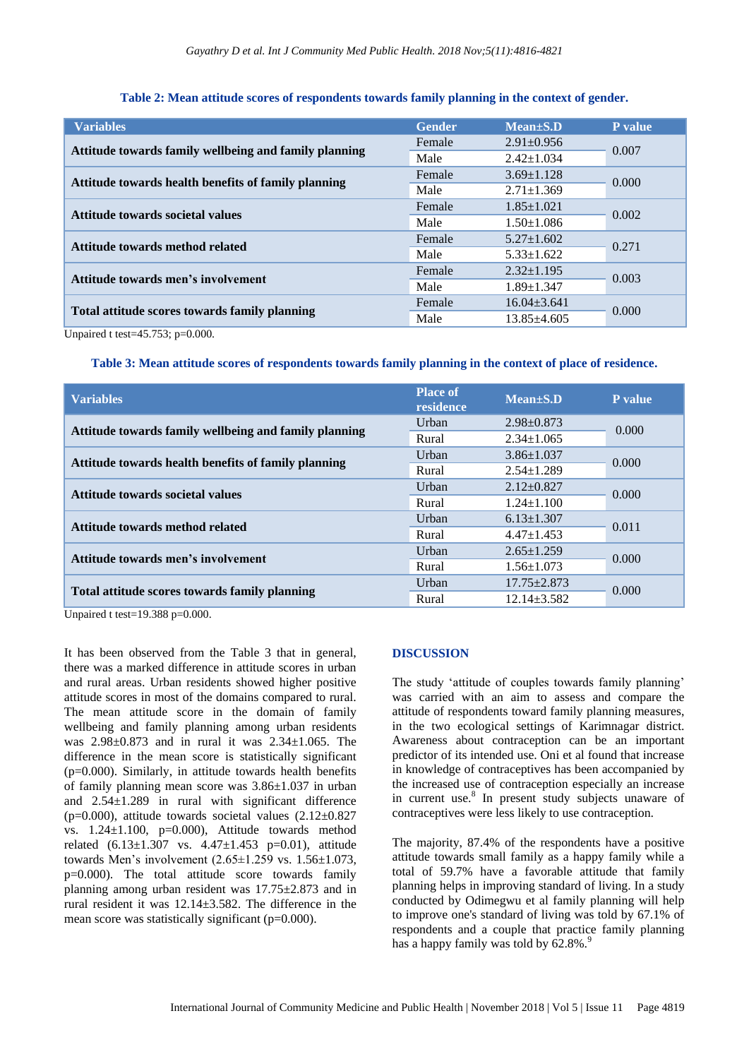| <b>Variables</b>                                      | <b>Gender</b> | $Mean \pm S.D$    | <b>P</b> value |  |
|-------------------------------------------------------|---------------|-------------------|----------------|--|
|                                                       | Female        | $2.91 \pm 0.956$  |                |  |
| Attitude towards family wellbeing and family planning | Male          | $2.42 \pm 1.034$  | 0.007          |  |
|                                                       | Female        | $3.69 \pm 1.128$  | 0.000          |  |
| Attitude towards health benefits of family planning   | Male          | $2.71 \pm 1.369$  |                |  |
| Attitude towards societal values                      | Female        | $1.85 \pm 1.021$  | 0.002          |  |
|                                                       | Male          | $1.50 \pm 1.086$  |                |  |
| Attitude towards method related                       | Female        | $5.27 \pm 1.602$  | 0.271          |  |
|                                                       | Male          | $5.33 \pm 1.622$  |                |  |
| Attitude towards men's involvement                    | Female        | $2.32 \pm 1.195$  | 0.003          |  |
|                                                       | Male          | $1.89 \pm 1.347$  |                |  |
| Total attitude scores towards family planning         | Female        | $16.04 \pm 3.641$ | 0.000          |  |
|                                                       | Male          | $13.85 \pm 4.605$ |                |  |

#### **Table 2: Mean attitude scores of respondents towards family planning in the context of gender.**

Unpaired t test=45.753; p=0.000.

#### **Table 3: Mean attitude scores of respondents towards family planning in the context of place of residence.**

| <b>Variables</b>                                      | <b>Place of</b><br>residence | $Mean \pm S.D$    | P value |  |
|-------------------------------------------------------|------------------------------|-------------------|---------|--|
|                                                       | Urban                        | $2.98 \pm 0.873$  | 0.000   |  |
| Attitude towards family wellbeing and family planning | Rural                        | $2.34 \pm 1.065$  |         |  |
|                                                       | Urban                        | $3.86 \pm 1.037$  | 0.000   |  |
| Attitude towards health benefits of family planning   | Rural                        | $2.54 \pm 1.289$  |         |  |
| Attitude towards societal values                      | Urban                        | $2.12 \pm 0.827$  | 0.000   |  |
|                                                       | Rural                        | $1.24 \pm 1.100$  |         |  |
| Attitude towards method related                       | Urban                        | $6.13 \pm 1.307$  | 0.011   |  |
|                                                       | Rural                        | $4.47 \pm 1.453$  |         |  |
| Attitude towards men's involvement                    | Urban                        | $2.65 \pm 1.259$  | 0.000   |  |
|                                                       | Rural                        | $1.56 \pm 1.073$  |         |  |
| Total attitude scores towards family planning         | Urban                        | $17.75 \pm 2.873$ | 0.000   |  |
|                                                       | Rural                        | $12.14 \pm 3.582$ |         |  |

Unpaired t test= $19.388$  p= $0.000$ .

It has been observed from the Table 3 that in general, there was a marked difference in attitude scores in urban and rural areas. Urban residents showed higher positive attitude scores in most of the domains compared to rural. The mean attitude score in the domain of family wellbeing and family planning among urban residents was 2.98±0.873 and in rural it was 2.34±1.065. The difference in the mean score is statistically significant (p=0.000). Similarly, in attitude towards health benefits of family planning mean score was 3.86±1.037 in urban and 2.54±1.289 in rural with significant difference ( $p=0.000$ ), attitude towards societal values  $(2.12\pm0.827)$ vs.  $1.24 \pm 1.100$ ,  $p=0.000$ ), Attitude towards method related  $(6.13 \pm 1.307 \text{ vs. } 4.47 \pm 1.453 \text{ p=0.01}),$  attitude towards Men's involvement (2.65±1.259 vs. 1.56±1.073, p=0.000). The total attitude score towards family planning among urban resident was 17.75±2.873 and in rural resident it was 12.14±3.582. The difference in the mean score was statistically significant (p=0.000).

#### **DISCUSSION**

The study 'attitude of couples towards family planning' was carried with an aim to assess and compare the attitude of respondents toward family planning measures, in the two ecological settings of Karimnagar district. Awareness about contraception can be an important predictor of its intended use. Oni et al found that increase in knowledge of contraceptives has been accompanied by the increased use of contraception especially an increase in current use.<sup>8</sup> In present study subjects unaware of contraceptives were less likely to use contraception.

The majority, 87.4% of the respondents have a positive attitude towards small family as a happy family while a total of 59.7% have a favorable attitude that family planning helps in improving standard of living. In a study conducted by Odimegwu et al family planning will help to improve one's standard of living was told by 67.1% of respondents and a couple that practice family planning has a happy family was told by  $62.8\%$ .<sup>9</sup>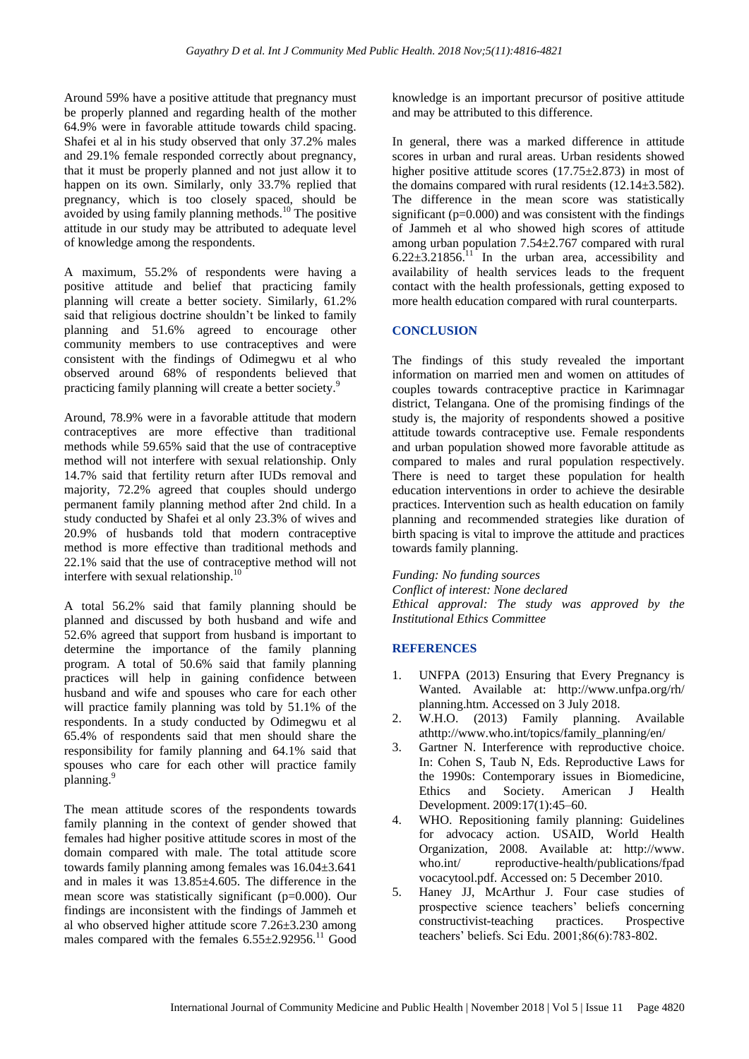Around 59% have a positive attitude that pregnancy must be properly planned and regarding health of the mother 64.9% were in favorable attitude towards child spacing. Shafei et al in his study observed that only 37.2% males and 29.1% female responded correctly about pregnancy, that it must be properly planned and not just allow it to happen on its own. Similarly, only 33.7% replied that pregnancy, which is too closely spaced, should be avoided by using family planning methods.<sup>10</sup> The positive attitude in our study may be attributed to adequate level of knowledge among the respondents.

A maximum, 55.2% of respondents were having a positive attitude and belief that practicing family planning will create a better society. Similarly, 61.2% said that religious doctrine shouldn't be linked to family planning and 51.6% agreed to encourage other community members to use contraceptives and were consistent with the findings of Odimegwu et al who observed around 68% of respondents believed that practicing family planning will create a better society.<sup>9</sup>

Around, 78.9% were in a favorable attitude that modern contraceptives are more effective than traditional methods while 59.65% said that the use of contraceptive method will not interfere with sexual relationship. Only 14.7% said that fertility return after IUDs removal and majority, 72.2% agreed that couples should undergo permanent family planning method after 2nd child. In a study conducted by Shafei et al only 23.3% of wives and 20.9% of husbands told that modern contraceptive method is more effective than traditional methods and 22.1% said that the use of contraceptive method will not interfere with sexual relationship.<sup>10</sup>

A total 56.2% said that family planning should be planned and discussed by both husband and wife and 52.6% agreed that support from husband is important to determine the importance of the family planning program. A total of 50.6% said that family planning practices will help in gaining confidence between husband and wife and spouses who care for each other will practice family planning was told by 51.1% of the respondents. In a study conducted by Odimegwu et al 65.4% of respondents said that men should share the responsibility for family planning and 64.1% said that spouses who care for each other will practice family planning.<sup>9</sup>

The mean attitude scores of the respondents towards family planning in the context of gender showed that females had higher positive attitude scores in most of the domain compared with male. The total attitude score towards family planning among females was 16.04±3.641 and in males it was 13.85±4.605. The difference in the mean score was statistically significant (p=0.000). Our findings are inconsistent with the findings of Jammeh et al who observed higher attitude score 7.26±3.230 among males compared with the females  $6.55\pm2.92956$ .<sup>11</sup> Good knowledge is an important precursor of positive attitude and may be attributed to this difference.

In general, there was a marked difference in attitude scores in urban and rural areas. Urban residents showed higher positive attitude scores (17.75±2.873) in most of the domains compared with rural residents (12.14±3.582). The difference in the mean score was statistically significant (p=0.000) and was consistent with the findings of Jammeh et al who showed high scores of attitude among urban population  $7.54 \pm 2.767$  compared with rural  $6.22\pm3.21856$ <sup>[1]</sup> In the urban area, accessibility and availability of health services leads to the frequent contact with the health professionals, getting exposed to more health education compared with rural counterparts.

## **CONCLUSION**

The findings of this study revealed the important information on married men and women on attitudes of couples towards contraceptive practice in Karimnagar district, Telangana. One of the promising findings of the study is, the majority of respondents showed a positive attitude towards contraceptive use. Female respondents and urban population showed more favorable attitude as compared to males and rural population respectively. There is need to target these population for health education interventions in order to achieve the desirable practices. Intervention such as health education on family planning and recommended strategies like duration of birth spacing is vital to improve the attitude and practices towards family planning.

*Funding: No funding sources Conflict of interest: None declared Ethical approval: The study was approved by the Institutional Ethics Committee*

## **REFERENCES**

- 1. UNFPA (2013) Ensuring that Every Pregnancy is Wanted. Available at: http://www.unfpa.org/rh/ planning.htm. Accessed on 3 July 2018.
- 2. W.H.O. (2013) Family planning. Available athttp://www.who.int/topics/family\_planning/en/
- 3. Gartner N. Interference with reproductive choice. In: Cohen S, Taub N, Eds. Reproductive Laws for the 1990s: Contemporary issues in Biomedicine, Ethics and Society. American J Health Development. 2009:17(1):45–60.
- 4. WHO. Repositioning family planning: Guidelines for advocacy action. USAID, World Health Organization, 2008. Available at: http://www. who.int/ reproductive-health/publications/fpad vocacytool.pdf. Accessed on: 5 December 2010.
- 5. Haney JJ, McArthur J. Four case studies of prospective science teachers' beliefs concerning constructivist-teaching practices. Prospective teachers' beliefs. Sci Edu. 2001;86(6):783-802.